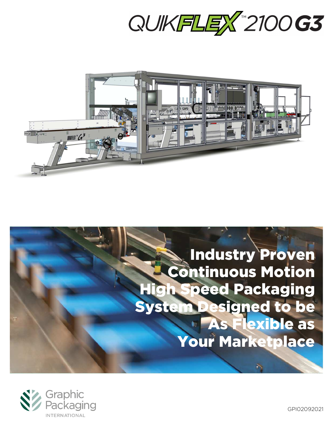



# Industry Proven **Continuous Motion Peed Packaging** System Designed to be **As Flexible as** Your Marketplace